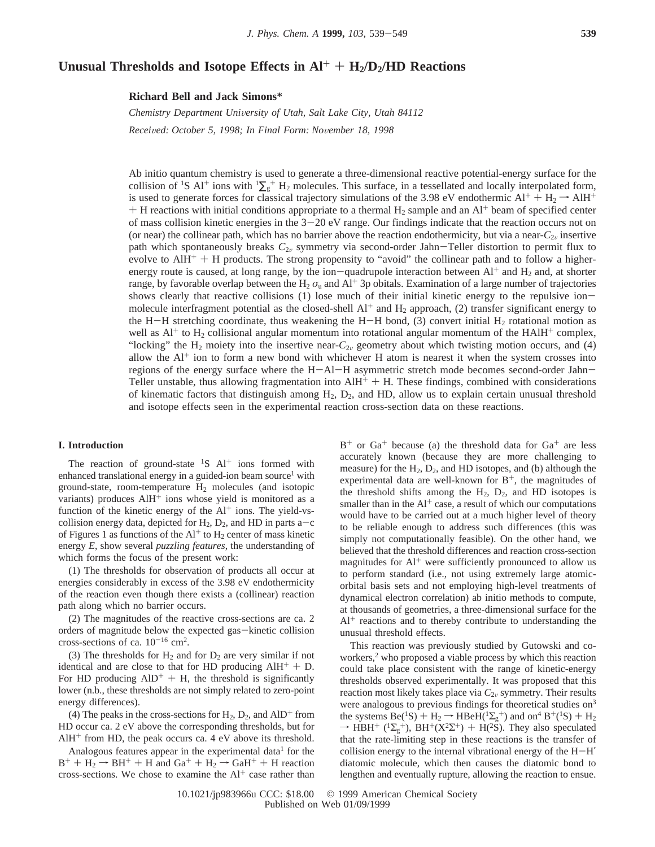# Unusual Thresholds and Isotope Effects in  $Al^+ + H_2/D_2/HD$  Reactions

**Richard Bell and Jack Simons\***

*Chemistry Department Uni*V*ersity of Utah, Salt Lake City, Utah 84112 Recei*V*ed: October 5, 1998; In Final Form: No*V*ember 18, 1998*

Ab initio quantum chemistry is used to generate a three-dimensional reactive potential-energy surface for the collision of <sup>1</sup>S Al<sup>+</sup> ions with  ${}^{1}\Sigma_{g}$ <sup>+</sup> H<sub>2</sub> molecules. This surface, in a tessellated and locally interpolated form, is used to generate forces for classical trajectory simulations of the 3.98 eV endothermic  $Al^+ + H_2 \rightarrow AlH^+$  $+$  H reactions with initial conditions appropriate to a thermal H<sub>2</sub> sample and an Al<sup>+</sup> beam of specified center of mass collision kinetic energies in the  $3-20$  eV range. Our findings indicate that the reaction occurs not on (or near) the collinear path, which has no barrier above the reaction endothermicity, but via a near- $C_{2\nu}$  insertive path which spontaneously breaks  $C_{2v}$  symmetry via second-order Jahn-Teller distortion to permit flux to evolve to  $AH^+ + H$  products. The strong propensity to "avoid" the collinear path and to follow a higherenergy route is caused, at long range, by the ion-quadrupole interaction between  $Al^+$  and  $H_2$  and, at shorter range, by favorable overlap between the H<sub>2</sub>  $\sigma_u$  and Al<sup>+</sup> 3p obitals. Examination of a large number of trajectories shows clearly that reactive collisions (1) lose much of their initial kinetic energy to the repulsive ionmolecule interfragment potential as the closed-shell  $Al^+$  and  $H_2$  approach, (2) transfer significant energy to the H-H stretching coordinate, thus weakening the H-H bond, (3) convert initial H<sub>2</sub> rotational motion as well as  $Al^+$  to  $H_2$  collisional angular momentum into rotational angular momentum of the  $HAIH^+$  complex, "locking" the  $H_2$  moiety into the insertive near- $C_{2\nu}$  geometry about which twisting motion occurs, and (4) allow the  $Al^+$  ion to form a new bond with whichever H atom is nearest it when the system crosses into regions of the energy surface where the H-Al-H asymmetric stretch mode becomes second-order Jahn-Teller unstable, thus allowing fragmentation into  $AH<sup>+</sup> + H$ . These findings, combined with considerations of kinematic factors that distinguish among  $H_2$ ,  $D_2$ , and HD, allow us to explain certain unusual threshold and isotope effects seen in the experimental reaction cross-section data on these reactions.

#### **I. Introduction**

The reaction of ground-state  ${}^{1}S$  Al<sup>+</sup> ions formed with enhanced translational energy in a guided-ion beam source<sup>1</sup> with ground-state, room-temperature  $H_2$  molecules (and isotopic variants) produces  $A I H<sup>+</sup>$  ions whose yield is monitored as a function of the kinetic energy of the  $Al^+$  ions. The yield-vscollision energy data, depicted for  $H_2$ ,  $D_2$ , and HD in parts a-c of Figures 1 as functions of the  $Al<sup>+</sup>$  to  $H<sub>2</sub>$  center of mass kinetic energy *E*, show several *puzzling features*, the understanding of which forms the focus of the present work:

(1) The thresholds for observation of products all occur at energies considerably in excess of the 3.98 eV endothermicity of the reaction even though there exists a (collinear) reaction path along which no barrier occurs.

(2) The magnitudes of the reactive cross-sections are ca. 2 orders of magnitude below the expected gas-kinetic collision cross-sections of ca.  $10^{-16}$  cm<sup>2</sup>.

(3) The thresholds for  $H_2$  and for  $D_2$  are very similar if not identical and are close to that for HD producing  $AlH^+ + D$ . For HD producing  $AID^{+} + H$ , the threshold is significantly lower (n.b., these thresholds are not simply related to zero-point energy differences).

(4) The peaks in the cross-sections for  $H_2$ ,  $D_2$ , and  $AID^+$  from HD occur ca. 2 eV above the corresponding thresholds, but for  $AH^+$  from HD, the peak occurs ca. 4 eV above its threshold.

Analogous features appear in the experimental data<sup>1</sup> for the  $B^+ + H_2 \rightarrow BH^+ + H$  and  $Ga^+ + H_2 \rightarrow GaH^+ + H$  reaction cross-sections. We chose to examine the  $Al<sup>+</sup>$  case rather than

 $B^+$  or  $Ga^+$  because (a) the threshold data for  $Ga^+$  are less accurately known (because they are more challenging to measure) for the  $H_2$ ,  $D_2$ , and HD isotopes, and (b) although the experimental data are well-known for  $B^+$ , the magnitudes of the threshold shifts among the  $H_2$ ,  $D_2$ , and HD isotopes is smaller than in the  $Al^+$  case, a result of which our computations would have to be carried out at a much higher level of theory to be reliable enough to address such differences (this was simply not computationally feasible). On the other hand, we believed that the threshold differences and reaction cross-section magnitudes for  $Al^+$  were sufficiently pronounced to allow us to perform standard (i.e., not using extremely large atomicorbital basis sets and not employing high-level treatments of dynamical electron correlation) ab initio methods to compute, at thousands of geometries, a three-dimensional surface for the  $Al^+$  reactions and to thereby contribute to understanding the unusual threshold effects.

This reaction was previously studied by Gutowski and coworkers,<sup>2</sup> who proposed a viable process by which this reaction could take place consistent with the range of kinetic-energy thresholds observed experimentally. It was proposed that this reaction most likely takes place via  $C_{2v}$  symmetry. Their results were analogous to previous findings for theoretical studies on<sup>3</sup> the systems  $Be(^{1}S) + H_{2} \rightarrow HBeH(^{1}\Sigma_{g}^{+})$  and on<sup>4</sup>  $B^{+}(^{1}S) + H_{2} \rightarrow HBH^{+}(^{1}\Sigma_{g}^{+})$   $BH^{+}(X^{2}\Sigma^{+}) + H(^{2}S)$  They also speculated  $\rightarrow$  HBH<sup>+</sup> (<sup>1</sup> $\Sigma_g^+$ ), BH<sup>+</sup>( $X^2\Sigma^+$ ) + H( $^2S$ ). They also speculated that the rate-limiting step in these reactions is the transfer of that the rate-limiting step in these reactions is the transfer of collision energy to the internal vibrational energy of the H-H′ diatomic molecule, which then causes the diatomic bond to lengthen and eventually rupture, allowing the reaction to ensue.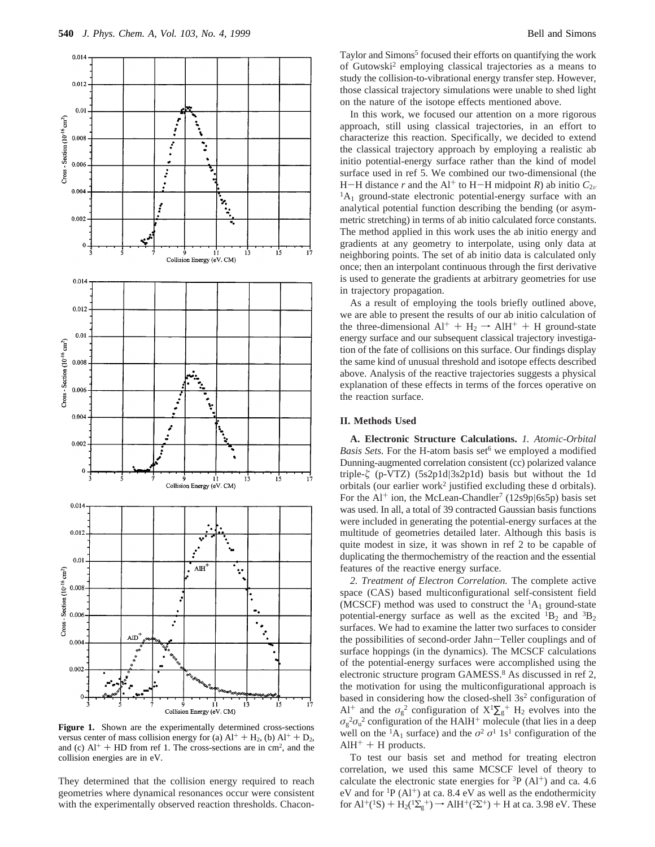

**Figure 1.** Shown are the experimentally determined cross-sections versus center of mass collision energy for (a)  $Al^+ + H_2$ , (b)  $Al^+ + D_2$ , and (c)  $Al^+$  + HD from ref 1. The cross-sections are in cm<sup>2</sup>, and the collision energies are in eV.

They determined that the collision energy required to reach geometries where dynamical resonances occur were consistent with the experimentally observed reaction thresholds. ChaconTaylor and Simons<sup>5</sup> focused their efforts on quantifying the work of Gutowski2 employing classical trajectories as a means to study the collision-to-vibrational energy transfer step. However, those classical trajectory simulations were unable to shed light on the nature of the isotope effects mentioned above.

In this work, we focused our attention on a more rigorous approach, still using classical trajectories, in an effort to characterize this reaction. Specifically, we decided to extend the classical trajectory approach by employing a realistic ab initio potential-energy surface rather than the kind of model surface used in ref 5. We combined our two-dimensional (the H-H distance *r* and the Al<sup>+</sup> to H-H midpoint *R*) ab initio  $C_{2v}$  ${}^{1}A_{1}$  ground-state electronic potential-energy surface with an analytical potential function describing the bending (or asymmetric stretching) in terms of ab initio calculated force constants. The method applied in this work uses the ab initio energy and gradients at any geometry to interpolate, using only data at neighboring points. The set of ab initio data is calculated only once; then an interpolant continuous through the first derivative is used to generate the gradients at arbitrary geometries for use in trajectory propagation.

As a result of employing the tools briefly outlined above, we are able to present the results of our ab initio calculation of the three-dimensional  $Al^+ + H_2 \rightarrow AlH^+ + H$  ground-state energy surface and our subsequent classical trajectory investigation of the fate of collisions on this surface. Our findings display the same kind of unusual threshold and isotope effects described above. Analysis of the reactive trajectories suggests a physical explanation of these effects in terms of the forces operative on the reaction surface.

# **II. Methods Used**

**A. Electronic Structure Calculations.** *1. Atomic-Orbital Basis Sets.* For the H-atom basis set<sup>6</sup> we employed a modified Dunning-augmented correlation consistent (cc) polarized valance triple-*ú* (p-VTZ) (5s2p1d|3s2p1d) basis but without the 1d orbitals (our earlier work<sup>2</sup> justified excluding these d orbitals). For the Al<sup>+</sup> ion, the McLean-Chandler<sup>7</sup> (12s9p|6s5p) basis set was used. In all, a total of 39 contracted Gaussian basis functions were included in generating the potential-energy surfaces at the multitude of geometries detailed later. Although this basis is quite modest in size, it was shown in ref 2 to be capable of duplicating the thermochemistry of the reaction and the essential features of the reactive energy surface.

*2. Treatment of Electron Correlation.* The complete active space (CAS) based multiconfigurational self-consistent field (MCSCF) method was used to construct the  ${}^{1}A_{1}$  ground-state potential-energy surface as well as the excited  ${}^{1}B_{2}$  and  ${}^{3}B_{2}$ surfaces. We had to examine the latter two surfaces to consider the possibilities of second-order Jahn-Teller couplings and of surface hoppings (in the dynamics). The MCSCF calculations of the potential-energy surfaces were accomplished using the electronic structure program GAMESS.<sup>8</sup> As discussed in ref 2, the motivation for using the multiconfigurational approach is based in considering how the closed-shell  $3s<sup>2</sup>$  configuration of Al<sup>+</sup> and the  $\sigma_g^2$  configuration of  $X^1\Sigma_g^+$  H<sub>2</sub> evolves into the  $\sigma_{\rm g}^2 \sigma_{\rm u}^2$  configuration of the HAlH<sup>+</sup> molecule (that lies in a deep well on the <sup>1</sup>A<sub>1</sub> surface) and the  $\sigma^2$   $\sigma^1$  1s<sup>1</sup> configuration of the  $AlH^+ + H$  products.

To test our basis set and method for treating electron correlation, we used this same MCSCF level of theory to calculate the electronic state energies for  ${}^{3}P(A1^{+})$  and ca. 4.6 eV and for <sup>1</sup>P (Al<sup>+</sup>) at ca. 8.4 eV as well as the endothermicity for  $Al^+(^1S) + H_2(^1\Sigma_g^+) \rightarrow AlH^+(^2\Sigma^+) + H$  at ca. 3.98 eV. These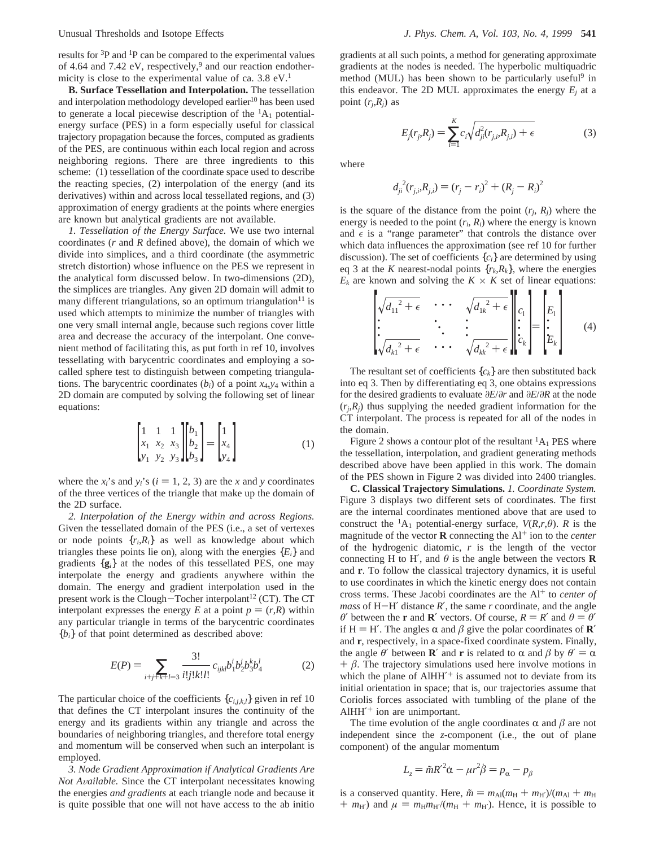results for 3P and 1P can be compared to the experimental values of 4.64 and 7.42 eV, respectively,<sup>9</sup> and our reaction endothermicity is close to the experimental value of ca.  $3.8 \text{ eV}$ .<sup>1</sup>

**B. Surface Tessellation and Interpolation.** The tessellation and interpolation methodology developed earlier<sup>10</sup> has been used to generate a local piecewise description of the  ${}^{1}A_{1}$  potentialenergy surface (PES) in a form especially useful for classical trajectory propagation because the forces, computed as gradients of the PES, are continuous within each local region and across neighboring regions. There are three ingredients to this scheme: (1) tessellation of the coordinate space used to describe the reacting species, (2) interpolation of the energy (and its derivatives) within and across local tessellated regions, and (3) approximation of energy gradients at the points where energies are known but analytical gradients are not available.

*1. Tessellation of the Energy Surface.* We use two internal coordinates (*r* and *R* defined above), the domain of which we divide into simplices, and a third coordinate (the asymmetric stretch distortion) whose influence on the PES we represent in the analytical form discussed below. In two-dimensions (2D), the simplices are triangles. Any given 2D domain will admit to many different triangulations, so an optimum triangulation $11$  is used which attempts to minimize the number of triangles with one very small internal angle, because such regions cover little area and decrease the accuracy of the interpolant. One convenient method of facilitating this, as put forth in ref 10, involves tessellating with barycentric coordinates and employing a socalled sphere test to distinguish between competing triangulations. The barycentric coordinates  $(b_i)$  of a point  $x_4, y_4$  within a 2D domain are computed by solving the following set of linear equations:

$$
\begin{bmatrix} 1 & 1 & 1 \ x_1 & x_2 & x_3 \ y_1 & y_2 & y_3 \end{bmatrix} \begin{bmatrix} b_1 \ b_2 \ b_3 \end{bmatrix} = \begin{bmatrix} 1 \ x_4 \ y_4 \end{bmatrix}
$$
 (1)

where the  $x_i$ 's and  $y_i$ 's ( $i = 1, 2, 3$ ) are the *x* and *y* coordinates of the three vertices of the triangle that make up the domain of the 2D surface.

*2. Interpolation of the Energy within and across Regions.* Given the tessellated domain of the PES (i.e., a set of vertexes or node points  $\{r_i, R_i\}$  as well as knowledge about which triangles these points lie on), along with the energies  ${E_i}$  and gradients {**g***i*} at the nodes of this tessellated PES, one may interpolate the energy and gradients anywhere within the domain. The energy and gradient interpolation used in the present work is the Clough-Tocher interpolant<sup>12</sup> (CT). The CT interpolant expresses the energy *E* at a point  $p = (r, R)$  within any particular triangle in terms of the barycentric coordinates  ${b_i}$  of that point determined as described above:

$$
E(P) = \sum_{i+j+k+l=3} \frac{3!}{i!j!k!l!} c_{ijkl} b_1^i b_2^j b_3^k b_4^l \tag{2}
$$

The particular choice of the coefficients  $\{c_{i,j,k,l}\}\$  given in ref 10 that defines the CT interpolant insures the continuity of the energy and its gradients within any triangle and across the boundaries of neighboring triangles, and therefore total energy and momentum will be conserved when such an interpolant is employed.

*3. Node Gradient Approximation if Analytical Gradients Are Not A*V*ailable.* Since the CT interpolant necessitates knowing the energies *and gradients* at each triangle node and because it is quite possible that one will not have access to the ab initio

gradients at all such points, a method for generating approximate gradients at the nodes is needed. The hyperbolic multiquadric method (MUL) has been shown to be particularly useful<sup>9</sup> in this endeavor. The 2D MUL approximates the energy  $E_i$  at a point  $(r_i, R_i)$  as

$$
E_j(r_j, R_j) = \sum_{i=1}^{K} c_i \sqrt{d_{ji}^2(r_{j,i}, R_{j,i}) + \epsilon}
$$
 (3)

where

$$
d_{ji}^{2}(r_{j,i}, R_{j,i}) = (r_{j} - r_{i})^{2} + (R_{j} - R_{i})^{2}
$$

is the square of the distance from the point  $(r_i, R_i)$  where the energy is needed to the point  $(r_i, R_i)$  where the energy is known and  $\epsilon$  is a "range parameter" that controls the distance over which data influences the approximation (see ref 10 for further discussion). The set of coefficients {*ci*} are determined by using eq 3 at the *K* nearest-nodal points  $\{r_k, R_k\}$ , where the energies  $E_k$  are known and solving the  $K \times K$  set of linear equations:

$$
\begin{bmatrix}\n\sqrt{d_{11}^2 + \epsilon} & \cdots & \sqrt{d_{1k}^2 + \epsilon} \\
\vdots & \ddots & \vdots \\
\sqrt{d_{k1}^2 + \epsilon} & \cdots & \sqrt{d_{kk}^2 + \epsilon}\n\end{bmatrix}\n\begin{bmatrix}\nc_1 \\
\vdots \\
c_k\n\end{bmatrix}\n=\n\begin{bmatrix}\nE_1 \\
\vdots \\
E_k\n\end{bmatrix}
$$
\n(4)

The resultant set of coefficients  $\{c_k\}$  are then substituted back into eq 3. Then by differentiating eq 3, one obtains expressions for the desired gradients to evaluate *∂E*/*∂r* and *∂E*/*∂R* at the node  $(r_i, R_i)$  thus supplying the needed gradient information for the CT interpolant. The process is repeated for all of the nodes in the domain.

Figure 2 shows a contour plot of the resultant  ${}^{1}A_1$  PES where the tessellation, interpolation, and gradient generating methods described above have been applied in this work. The domain of the PES shown in Figure 2 was divided into 2400 triangles.

**C. Classical Trajectory Simulations.** *1. Coordinate System.* Figure 3 displays two different sets of coordinates. The first are the internal coordinates mentioned above that are used to construct the <sup>1</sup>A<sub>1</sub> potential-energy surface,  $V(R,r,\theta)$ . *R* is the magnitude of the vector **R** connecting the Al<sup>+</sup> ion to the *center* of the hydrogenic diatomic, *r* is the length of the vector connecting H to H', and  $\theta$  is the angle between the vectors **R** and **r**. To follow the classical trajectory dynamics, it is useful to use coordinates in which the kinetic energy does not contain cross terms. These Jacobi coordinates are the Al<sup>+</sup> to *center of mass* of H-H′ distance *<sup>R</sup>*′, the same *<sup>r</sup>* coordinate, and the angle *θ*′ between the **r** and **R**<sup>′</sup> vectors. Of course,  $R = R'$  and  $θ = θ'$ if H = H'. The angles  $\alpha$  and  $\beta$  give the polar coordinates of **R'** and **r**, respectively, in a space-fixed coordinate system. Finally, the angle *θ'* between **R'** and **r** is related to  $\alpha$  and  $\beta$  by  $\theta' = \alpha$  $+ \beta$ . The trajectory simulations used here involve motions in which the plane of  $AHHH'$  is assumed not to deviate from its initial orientation in space; that is, our trajectories assume that Coriolis forces associated with tumbling of the plane of the AlHH′ <sup>+</sup> ion are unimportant.

The time evolution of the angle coordinates  $\alpha$  and  $\beta$  are not independent since the *z*-component (i.e., the out of plane component) of the angular momentum

$$
L_z = \tilde{m}R'^2\dot{\alpha} - \mu r^2 \dot{\beta} = p_\alpha - p_\beta
$$

is a conserved quantity. Here,  $\tilde{m} = m_{\text{Al}}(m_{\text{H}} + m_{\text{H}'})/(m_{\text{Al}} + m_{\text{H}})$  $+m_{\text{H'}}$ ) and  $\mu = m_{\text{H}}m_{\text{H'}}/(m_{\text{H}} + m_{\text{H'}})$ . Hence, it is possible to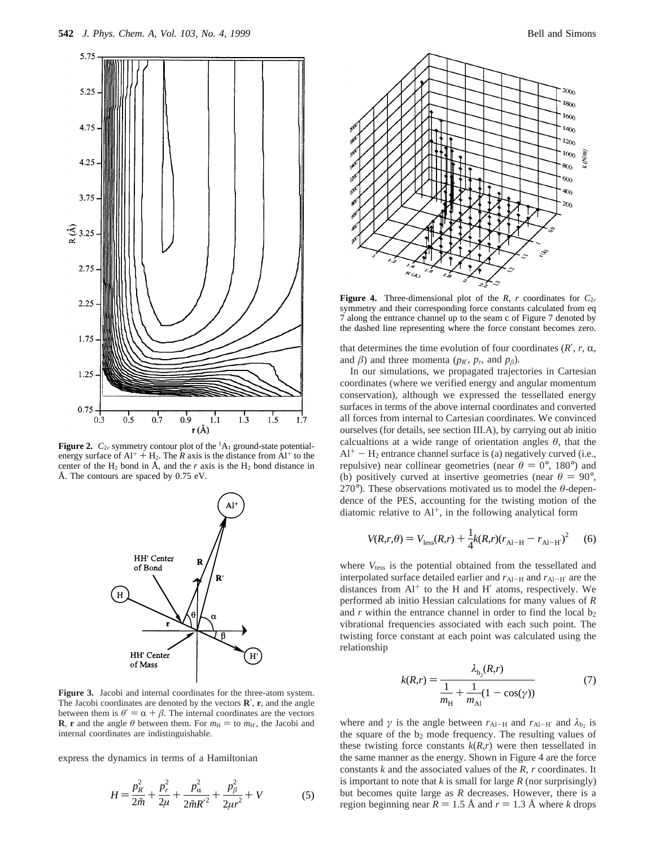

**Figure 2.**  $C_{2v}$  symmetry contour plot of the <sup>1</sup>A<sub>1</sub> ground-state potential-<br>experience of  $A_{1+}^{++}$  U. The *P* exis is the distance from  $A_{1+}^{++}$  to the energy surface of  $Al^+ + H_2$ . The *R* axis is the distance from  $Al^+$  to the center of the  $H_2$  bond in  $\AA$ , and the *r* axis is the  $H_2$  bond distance in Å. The contours are spaced by 0.75 eV.



**Figure 3.** Jacobi and internal coordinates for the three-atom system. The Jacobi coordinates are denoted by the vectors **R**′, **r**, and the angle between them is  $\theta' = \alpha + \beta$ . The internal coordinates are the vectors **R**, **r** and the angle  $\theta$  between them. For  $m_H =$  to  $m_{H'}$ , the Jacobi and internal coordinates are indistinguishable.

express the dynamics in terms of a Hamiltonian

$$
H = \frac{p_{R}^{2}}{2\tilde{m}} + \frac{p_{r}^{2}}{2\mu} + \frac{p_{\alpha}^{2}}{2\tilde{m}R'^{2}} + \frac{p_{\beta}^{2}}{2\mu r^{2}} + V
$$
 (5)



**Figure 4.** Three-dimensional plot of the *R*, *r* coordinates for  $C_{2v}$ symmetry and their corresponding force constants calculated from eq 7 along the entrance channel up to the seam c of Figure 7 denoted by the dashed line representing where the force constant becomes zero.

that determines the time evolution of four coordinates  $(R', r, \alpha,$ and  $\beta$ ) and three momenta ( $p_R$ °,  $p_r$ , and  $p_\beta$ ).

In our simulations, we propagated trajectories in Cartesian coordinates (where we verified energy and angular momentum conservation), although we expressed the tessellated energy surfaces in terms of the above internal coordinates and converted all forces from internal to Cartesian coordinates. We convinced ourselves (for details, see section III.A), by carrying out ab initio calcualtions at a wide range of orientation angles  $\theta$ , that the  $Al^+ - H_2$  entrance channel surface is (a) negatively curved (i.e., repulsive) near collinear geometries (near  $\theta = 0^{\circ}$ , 180°) and (b) positively curved at insertive geometries (near  $\theta = 90^{\circ}$ , 270°). These observations motivated us to model the *θ*-dependence of the PES, accounting for the twisting motion of the diatomic relative to  $Al^+$ , in the following analytical form

$$
V(R,r,\theta) = V_{\text{less}}(R,r) + \frac{1}{4}k(R,r)(r_{\text{Al}-H} - r_{\text{Al}-H'})^2
$$
 (6)

where  $V_{\text{tess}}$  is the potential obtained from the tessellated and interpolated surface detailed earlier and  $r_{Al-H}$  and  $r_{Al-H'}$  are the distances from  $Al^+$  to the H and H' atoms, respectively. We performed ab initio Hessian calculations for many values of *R* and  $r$  within the entrance channel in order to find the local  $b_2$ vibrational frequencies associated with each such point. The twisting force constant at each point was calculated using the relationship

$$
k(R,r) = \frac{\lambda_{b_2}(R,r)}{\frac{1}{m_H} + \frac{1}{m_{Al}}(1 - \cos(\gamma))}
$$
(7)

where and  $\gamma$  is the angle between  $r_{Al-H}$  and  $r_{Al-H'}$  and  $\lambda_{b_2}$  is the square of the  $b_2$  mode frequency. The resulting values of these twisting force constants  $k(R,r)$  were then tessellated in the same manner as the energy. Shown in Figure 4 are the force constants *k* and the associated values of the *R*, *r* coordinates. It is important to note that *k* is small for large *R* (nor surprisingly) but becomes quite large as *R* decreases. However, there is a region beginning near  $R = 1.5 \text{ Å}$  and  $r = 1.3 \text{ Å}$  where *k* drops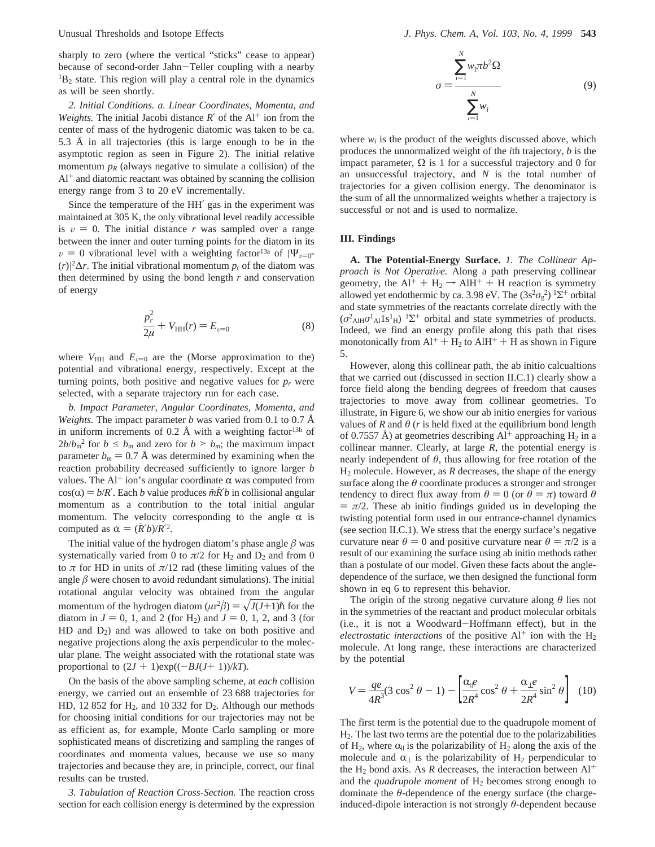sharply to zero (where the vertical "sticks" cease to appear) because of second-order Jahn-Teller coupling with a nearby  ${}^{1}B_{2}$  state. This region will play a central role in the dynamics as will be seen shortly.

*2. Initial Conditions. a. Linear Coordinates, Momenta, and Weights.* The initial Jacobi distance  $R'$  of the  $Al^+$  ion from the center of mass of the hydrogenic diatomic was taken to be ca. 5.3 Å in all trajectories (this is large enough to be in the asymptotic region as seen in Figure 2). The initial relative momentum  $p_R$  (always negative to simulate a collision) of the  $Al<sup>+</sup>$  and diatomic reactant was obtained by scanning the collision energy range from 3 to 20 eV incrementally.

Since the temperature of the HH′ gas in the experiment was maintained at 305 K, the only vibrational level readily accessible is  $v = 0$ . The initial distance *r* was sampled over a range between the inner and outer turning points for the diatom in its  $v = 0$  vibrational level with a weighting factor<sup>13a</sup> of  $|\Psi_{v=0}$ - $(r)|^2\Delta r$ . The initial vibrational momentum  $p_r$  of the diatom was then determined by using the bond length *r* and conservation of energy

$$
\frac{p_r^2}{2\mu} + V_{HH}(r) = E_{\nu=0}
$$
 (8)

where  $V_{HH}$  and  $E_{v=0}$  are the (Morse approximation to the) potential and vibrational energy, respectively. Except at the turning points, both positive and negative values for  $p_r$  were selected, with a separate trajectory run for each case.

*b. Impact Parameter, Angular Coordinates, Momenta, and Weights.* The impact parameter *b* was varied from 0.1 to 0.7 Å in uniform increments of 0.2 Å with a weighting factor<sup>13b</sup> of  $2b/b_m^2$  for  $b \le b_m$  and zero for  $b > b_m$ ; the maximum impact parameter  $b_m = 0.7$  Å was determined by examining when the reaction probability decreased sufficiently to ignore larger *b* values. The Al<sup>+</sup> ion's angular coordinate  $\alpha$  was computed from  $cos(\alpha) = b/R'$ . Each *b* value produces  $\tilde{m}R'b$  in collisional angular momentum as a contribution to the total initial angular momentum. The velocity corresponding to the angle  $\alpha$  is computed as  $\dot{\alpha} = (\dot{R}^{\prime} b)/R^{\prime 2}$ .

The initial value of the hydrogen diatom's phase angle  $\beta$  was systematically varied from 0 to  $\pi/2$  for H<sub>2</sub> and D<sub>2</sub> and from 0 to  $\pi$  for HD in units of  $\pi/12$  rad (these limiting values of the angle  $\beta$  were chosen to avoid redundant simulations). The initial rotational angular velocity was obtained from the angular momentum of the hydrogen diatom  $(\mu r^2 \hat{\beta}) = \sqrt{J(J+1)}\hat{\hbar}$  for the diatom in  $J = 0$ , 1, and 2 (for H<sub>2</sub>) and  $J = 0$ , 1, 2, and 3 (for  $HD$  and  $D_2$ ) and was allowed to take on both positive and negative projections along the axis perpendicular to the molecular plane. The weight associated with the rotational state was proportional to  $(2J + 1)exp((-BJ(J+ 1))/kT)$ .

On the basis of the above sampling scheme, at *each* collision energy, we carried out an ensemble of 23 688 trajectories for HD, 12 852 for  $H_2$ , and 10 332 for  $D_2$ . Although our methods for choosing initial conditions for our trajectories may not be as efficient as, for example, Monte Carlo sampling or more sophisticated means of discretizing and sampling the ranges of coordinates and momenta values, because we use so many trajectories and because they are, in principle, correct, our final results can be trusted.

*3. Tabulation of Reaction Cross-Section.* The reaction cross section for each collision energy is determined by the expression

$$
\sigma = \frac{\sum_{i=1}^{N} w_i \pi b^2 \Omega}{\sum_{i=1}^{N} w_i}
$$
(9)

where  $w_i$  is the product of the weights discussed above, which produces the unnormalized weight of the *i*th trajectory, *b* is the impact parameter,  $\Omega$  is 1 for a successful trajectory and 0 for an unsuccessful trajectory, and *N* is the total number of trajectories for a given collision energy. The denominator is the sum of all the unnormalized weights whether a trajectory is successful or not and is used to normalize.

### **III. Findings**

**A. The Potential-Energy Surface.** *1. The Collinear Approach is Not Operative.* Along a path preserving collinear  $\phi$  approximation is expanded. geometry, the  $AI^+ + H_2 \rightarrow AIH^+ + H$  reaction is symmetry<br>allowed vet endothermic by ca. 3.98 eV. The  $(3s^2\sigma^2)^{15+}$  orbital allowed yet endothermic by ca. 3.98 eV. The  $(3s^2\sigma_g^2)^{1}\Sigma^{+}$  orbital and state symmetries of the reactants correlate directly with the  $(\sigma^2_{\text{AlH}} \sigma^1_{\text{Al}} 1 \text{s}^1_{\text{H}})$ <sup>1</sup> $\Sigma^+$  orbital and state symmetries of products. Indeed, we find an energy profile along this path that rises monotonically from  $Al^+ + H_2$  to  $AlH^+ + H$  as shown in Figure 5.

However, along this collinear path, the ab initio calcualtions that we carried out (discussed in section II.C.1) clearly show a force field along the bending degrees of freedom that causes trajectories to move away from collinear geometries. To illustrate, in Figure 6, we show our ab initio energies for various values of  $R$  and  $\theta$  ( $r$  is held fixed at the equilibrium bond length of 0.7557 Å) at geometries describing  $Al^+$  approaching  $H_2$  in a collinear manner. Clearly, at large *R*, the potential energy is nearly independent of  $\theta$ , thus allowing for free rotation of the H2 molecule. However, as *R* decreases, the shape of the energy surface along the  $\theta$  coordinate produces a stronger and stronger tendency to direct flux away from  $\theta = 0$  (or  $\theta = \pi$ ) toward  $\theta$  $= \pi/2$ . These ab initio findings guided us in developing the twisting potential form used in our entrance-channel dynamics (see section II.C.1). We stress that the energy surface's negative curvature near  $\theta = 0$  and positive curvature near  $\theta = \pi/2$  is a result of our examining the surface using ab initio methods rather than a postulate of our model. Given these facts about the angledependence of the surface, we then designed the functional form shown in eq 6 to represent this behavior.

The origin of the strong negative curvature along *θ* lies not in the symmetries of the reactant and product molecular orbitals (i.e., it is not a Woodward-Hoffmann effect), but in the *electrostatic interactions* of the positive  $Al^+$  ion with the  $H_2$ molecule. At long range, these interactions are characterized by the potential

$$
V = \frac{qe}{4R^3}(3\cos^2\theta - 1) - \left[\frac{\alpha_{\parallel}e}{2R^4}\cos^2\theta + \frac{\alpha_{\perp}e}{2R^4}\sin^2\theta\right]
$$
 (10)

The first term is the potential due to the quadrupole moment of H2. The last two terms are the potential due to the polarizabilities of H<sub>2</sub>, where  $\alpha_{\parallel}$  is the polarizability of H<sub>2</sub> along the axis of the molecule and  $\alpha_{\perp}$  is the polarizability of H<sub>2</sub> perpendicular to the H<sub>2</sub> bond axis. As *R* decreases, the interaction between  $Al^+$ and the *quadrupole moment* of H<sub>2</sub> becomes strong enough to dominate the *θ*-dependence of the energy surface (the chargeinduced-dipole interaction is not strongly *θ*-dependent because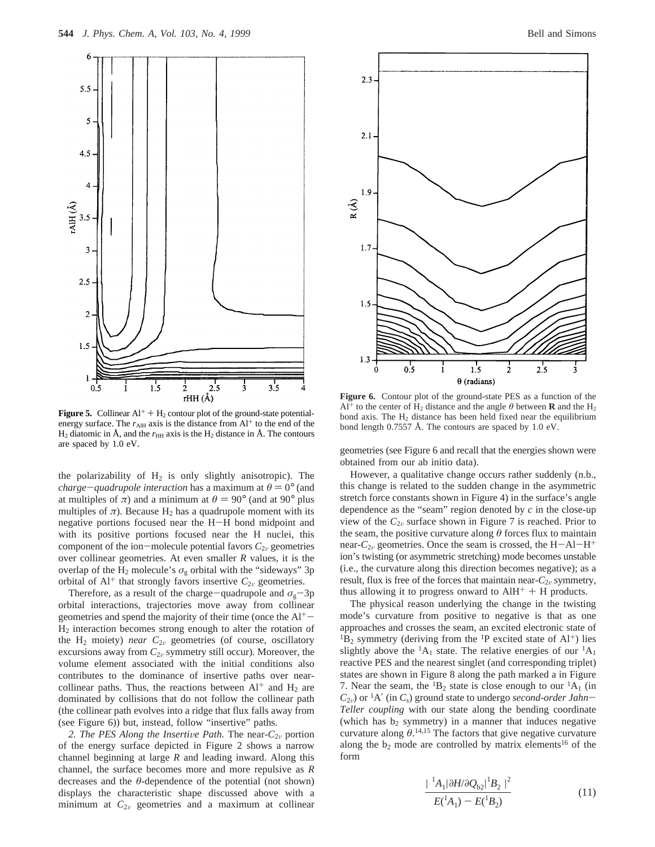

**Figure 5.** Collinear  $Al^+ + H_2$  contour plot of the ground-state potentialenergy surface. The  $r_{\text{AlH}}$  axis is the distance from  $Al^+$  to the end of the  $H_2$  diatomic in Å, and the  $r_{HH}$  axis is the  $H_2$  distance in Å. The contours are spaced by 1.0 eV.

the polarizability of  $H_2$  is only slightly anisotropic). The *charge-quadrupole interaction* has a maximum at  $\theta = 0^{\circ}$  (and at multiples of  $\pi$ ) and a minimum at  $\theta = 90^{\circ}$  (and at 90° plus multiples of  $\pi$ ). Because H<sub>2</sub> has a quadrupole moment with its negative portions focused near the H-H bond midpoint and with its positive portions focused near the H nuclei, this component of the ion-molecule potential favors  $C_{2v}$  geometries over collinear geometries. At even smaller *R* values, it is the overlap of the H<sub>2</sub> molecule's  $\sigma_{g}$  orbital with the "sideways" 3p orbital of  $Al^+$  that strongly favors insertive  $C_{2v}$  geometries.

Therefore, as a result of the charge-quadrupole and  $\sigma_{g}$ -3p orbital interactions, trajectories move away from collinear geometries and spend the majority of their time (once the  $Al^+$ -H2 interaction becomes strong enough to alter the rotation of the  $H_2$  moiety) *near*  $C_{2v}$  geometries (of course, oscillatory excursions away from  $C_{2v}$  symmetry still occur). Moreover, the volume element associated with the initial conditions also contributes to the dominance of insertive paths over nearcollinear paths. Thus, the reactions between  $Al^+$  and  $H_2$  are dominated by collisions that do not follow the collinear path (the collinear path evolves into a ridge that flux falls away from (see Figure 6)) but, instead, follow "insertive" paths.

2. The PES Along the Insertive Path. The near- $C_{2v}$  portion of the energy surface depicted in Figure 2 shows a narrow channel beginning at large *R* and leading inward. Along this channel, the surface becomes more and more repulsive as *R* decreases and the *θ*-dependence of the potential (not shown) displays the characteristic shape discussed above with a minimum at  $C_{2v}$  geometries and a maximum at collinear



**Figure 6.** Contour plot of the ground-state PES as a function of the  $Al^+$  to the center of H<sub>2</sub> distance and the angle  $\theta$  between **R** and the H<sub>2</sub> bond axis. The  $H_2$  distance has been held fixed near the equilibrium bond length 0.7557 Å. The contours are spaced by 1.0 eV.

geometries (see Figure 6 and recall that the energies shown were obtained from our ab initio data).

However, a qualitative change occurs rather suddenly (n.b., this change is related to the sudden change in the asymmetric stretch force constants shown in Figure 4) in the surface's angle dependence as the "seam" region denoted by *c* in the close-up view of the  $C_{2v}$  surface shown in Figure 7 is reached. Prior to the seam, the positive curvature along  $\theta$  forces flux to maintain near- $C_{2v}$  geometries. Once the seam is crossed, the  $H-AI-H^+$ ion's twisting (or asymmetric stretching) mode becomes unstable (i.e., the curvature along this direction becomes negative); as a result, flux is free of the forces that maintain near-*C*<sub>2v</sub> symmetry, thus allowing it to progress onward to  $AH^+ + H$  products.

The physical reason underlying the change in the twisting mode's curvature from positive to negative is that as one approaches and crosses the seam, an excited electronic state of  ${}^{1}B_{2}$  symmetry (deriving from the  ${}^{1}P$  excited state of Al<sup>+</sup>) lies slightly above the  ${}^{1}A_1$  state. The relative energies of our  ${}^{1}A_1$ reactive PES and the nearest singlet (and corresponding triplet) states are shown in Figure 8 along the path marked a in Figure 7. Near the seam, the  ${}^{1}B_{2}$  state is close enough to our  ${}^{1}A_{1}$  (in  $C_{2v}$ ) or <sup>1</sup>A' (in *C<sub>s</sub>*) ground state to undergo *second-order Jahn*-*Teller coupling* with our state along the bending coordinate (which has  $b_2$  symmetry) in a manner that induces negative curvature along  $\theta$ <sup>14,15</sup> The factors that give negative curvature along the  $b_2$  mode are controlled by matrix elements<sup>16</sup> of the form

$$
\frac{|\langle^{1}A_{1}|\partial H/\partial Q_{b2}|^{1}B_{2}\rangle|^{2}}{E(^{1}A_{1})-E(^{1}B_{2})}
$$
\n(11)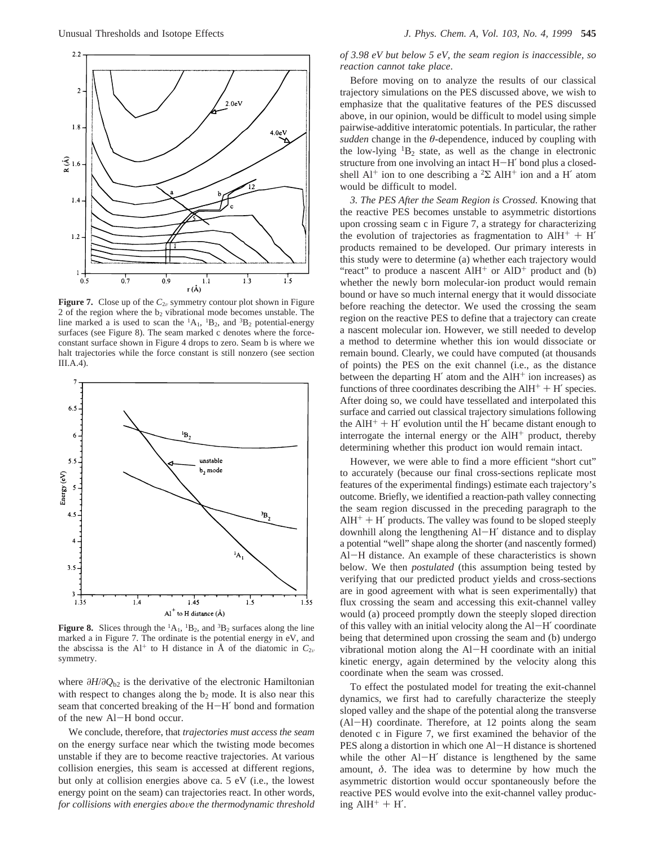

**Figure 7.** Close up of the  $C_{2v}$  symmetry contour plot shown in Figure 2 of the region where the  $b_2$  vibrational mode becomes unstable. The line marked a is used to scan the  ${}^{1}A_{1}$ ,  ${}^{1}B_{2}$ , and  ${}^{3}B_{2}$  potential-energy surfaces (see Figure 8). The seam marked c denotes where the forceconstant surface shown in Figure 4 drops to zero. Seam b is where we halt trajectories while the force constant is still nonzero (see section III.A.4).



**Figure 8.** Slices through the  ${}^{1}A_{1}$ ,  ${}^{1}B_{2}$ , and  ${}^{3}B_{2}$  surfaces along the line marked a in Figure 7. The ordinate is the potential energy in eV, and the abscissa is the Al<sup>+</sup> to H distance in  $\AA$  of the diatomic in  $C_{2v}$ symmetry.

where *∂H*/*∂Q*b2 is the derivative of the electronic Hamiltonian with respect to changes along the  $b_2$  mode. It is also near this seam that concerted breaking of the H-H′ bond and formation of the new Al-H bond occur.

We conclude, therefore, that *trajectories must access the seam* on the energy surface near which the twisting mode becomes unstable if they are to become reactive trajectories. At various collision energies, this seam is accessed at different regions, but only at collision energies above ca. 5 eV (i.e., the lowest energy point on the seam) can trajectories react. In other words, *for collisions with energies above the thermodynamic threshold* 

*of 3.98 eV but below 5 eV, the seam region is inaccessible, so reaction cannot take place*.

Before moving on to analyze the results of our classical trajectory simulations on the PES discussed above, we wish to emphasize that the qualitative features of the PES discussed above, in our opinion, would be difficult to model using simple pairwise-additive interatomic potentials. In particular, the rather *sudden* change in the *θ*-dependence, induced by coupling with the low-lying  ${}^{1}B_{2}$  state, as well as the change in electronic structure from one involving an intact H-H′ bond plus a closedshell  $Al^+$  ion to one describing a <sup>2</sup>Σ AlH<sup>+</sup> ion and a H' atom would be difficult to model.

*3. The PES After the Seam Region is Crossed.* Knowing that the reactive PES becomes unstable to asymmetric distortions upon crossing seam c in Figure 7, a strategy for characterizing the evolution of trajectories as fragmentation to  $AH^+ + H'$ products remained to be developed. Our primary interests in this study were to determine (a) whether each trajectory would "react" to produce a nascent  $\text{AlH}^+$  or  $\text{AlD}^+$  product and (b) whether the newly born molecular-ion product would remain bound or have so much internal energy that it would dissociate before reaching the detector. We used the crossing the seam region on the reactive PES to define that a trajectory can create a nascent molecular ion. However, we still needed to develop a method to determine whether this ion would dissociate or remain bound. Clearly, we could have computed (at thousands of points) the PES on the exit channel (i.e., as the distance between the departing  $H'$  atom and the  $AH^+$  ion increases) as functions of three coordinates describing the  $A I H^+ + H'$  species. After doing so, we could have tessellated and interpolated this surface and carried out classical trajectory simulations following the  $AH<sup>+</sup> + H'$  evolution until the H' became distant enough to interrogate the internal energy or the AlH<sup>+</sup> product, thereby determining whether this product ion would remain intact.

However, we were able to find a more efficient "short cut" to accurately (because our final cross-sections replicate most features of the experimental findings) estimate each trajectory's outcome. Briefly, we identified a reaction-path valley connecting the seam region discussed in the preceding paragraph to the  $AH<sup>+</sup> + H'$  products. The valley was found to be sloped steeply downhill along the lengthening Al-H′ distance and to display a potential "well" shape along the shorter (and nascently formed) Al-H distance. An example of these characteristics is shown below. We then *postulated* (this assumption being tested by verifying that our predicted product yields and cross-sections are in good agreement with what is seen experimentally) that flux crossing the seam and accessing this exit-channel valley would (a) proceed promptly down the steeply sloped direction of this valley with an initial velocity along the Al-H′ coordinate being that determined upon crossing the seam and (b) undergo vibrational motion along the Al-H coordinate with an initial kinetic energy, again determined by the velocity along this coordinate when the seam was crossed.

To effect the postulated model for treating the exit-channel dynamics, we first had to carefully characterize the steeply sloped valley and the shape of the potential along the transverse (Al-H) coordinate. Therefore, at 12 points along the seam denoted c in Figure 7, we first examined the behavior of the PES along a distortion in which one Al-H distance is shortened while the other Al-H' distance is lengthened by the same amount, *δ*. The idea was to determine by how much the asymmetric distortion would occur spontaneously before the reactive PES would evolve into the exit-channel valley producing  $AH^+ + H'$ .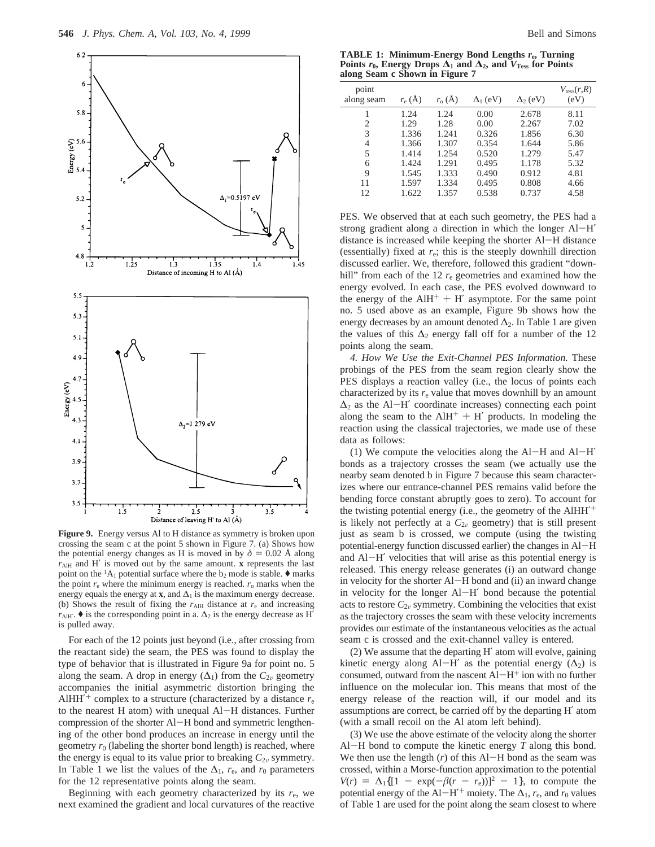

**Figure 9.** Energy versus Al to H distance as symmetry is broken upon crossing the seam c at the point 5 shown in Figure 7. (a) Shows how the potential energy changes as H is moved in by  $\delta = 0.02$  Å along *r*AlH and H′ is moved out by the same amount. **x** represents the last point on the  ${}^{1}A_{1}$  potential surface where the  $b_{2}$  mode is stable.  $\blacklozenge$  marks the point  $r_e$  where the minimum energy is reached.  $r_o$  marks when the energy equals the energy at **x**, and  $\Delta_1$  is the maximum energy decrease. (b) Shows the result of fixing the  $r_{\text{AIH}}$  distance at  $r_{e}$  and increasing  $r_{\text{AlH}}$ .  $\blacklozenge$  is the corresponding point in a.  $\Delta_2$  is the energy decrease as H<sup>'</sup> is pulled away.

For each of the 12 points just beyond (i.e., after crossing from the reactant side) the seam, the PES was found to display the type of behavior that is illustrated in Figure 9a for point no. 5 along the seam. A drop in energy  $(\Delta_1)$  from the  $C_{2v}$  geometry accompanies the initial asymmetric distortion bringing the AlHH<sup> $+$ </sup> complex to a structure (characterized by a distance  $r_e$ ) to the nearest H atom) with unequal Al-H distances. Further compression of the shorter Al-H bond and symmetric lengthening of the other bond produces an increase in energy until the geometry  $r_0$  (labeling the shorter bond length) is reached, where the energy is equal to its value prior to breaking  $C_{2v}$  symmetry. In Table 1 we list the values of the  $\Delta_1$ ,  $r_e$ , and  $r_0$  parameters for the 12 representative points along the seam.

Beginning with each geometry characterized by its  $r_{e}$ , we next examined the gradient and local curvatures of the reactive

**TABLE 1: Minimum-Energy Bond Lengths** *r***e, Turning Points**  $r_0$ , Energy Drops  $\Delta_1$  and  $\Delta_2$ , and  $V_{\text{Tess}}$  for Points **along Seam c Shown in Figure 7**

| point      | $r_{\rm e}$ (Å) | $r_{o}(\AA)$ |                 |                 | $V_{\text{tess}}(r,R)$<br>(eV) |
|------------|-----------------|--------------|-----------------|-----------------|--------------------------------|
| along seam |                 |              | $\Delta_1$ (eV) | $\Delta_2$ (eV) |                                |
|            | 1.24            | 1.24         | 0.00            | 2.678           | 8.11                           |
| 2          | 1.29            | 1.28         | 0.00            | 2.267           | 7.02                           |
| 3          | 1.336           | 1.241        | 0.326           | 1.856           | 6.30                           |
| 4          | 1.366           | 1.307        | 0.354           | 1.644           | 5.86                           |
| 5          | 1.414           | 1.254        | 0.520           | 1.279           | 5.47                           |
| 6          | 1.424           | 1.291        | 0.495           | 1.178           | 5.32                           |
| 9          | 1.545           | 1.333        | 0.490           | 0.912           | 4.81                           |
| 11         | 1.597           | 1.334        | 0.495           | 0.808           | 4.66                           |
| 12         | 1.622           | 1.357        | 0.538           | 0.737           | 4.58                           |

PES. We observed that at each such geometry, the PES had a strong gradient along a direction in which the longer Al-H' distance is increased while keeping the shorter Al-H distance (essentially) fixed at *r*e; this is the steeply downhill direction discussed earlier. We, therefore, followed this gradient "downhill" from each of the 12  $r_e$  geometries and examined how the energy evolved. In each case, the PES evolved downward to the energy of the  $A I H^+ + H'$  asymptote. For the same point no. 5 used above as an example, Figure 9b shows how the energy decreases by an amount denoted  $\Delta_2$ . In Table 1 are given the values of this  $\Delta_2$  energy fall off for a number of the 12 points along the seam.

*4. How We Use the Exit-Channel PES Information.* These probings of the PES from the seam region clearly show the PES displays a reaction valley (i.e., the locus of points each characterized by its  $r_e$  value that moves downhill by an amount  $\Delta_2$  as the Al-H' coordinate increases) connecting each point along the seam to the  $AH^+ + H'$  products. In modeling the reaction using the classical trajectories, we made use of these data as follows:

(1) We compute the velocities along the  $AI-H$  and  $AI-H'$ bonds as a trajectory crosses the seam (we actually use the nearby seam denoted b in Figure 7 because this seam characterizes where our entrance-channel PES remains valid before the bending force constant abruptly goes to zero). To account for the twisting potential energy (i.e., the geometry of the AlHH<sup>'+</sup> is likely not perfectly at a  $C_{2v}$  geometry) that is still present just as seam b is crossed, we compute (using the twisting potential-energy function discussed earlier) the changes in Al-<sup>H</sup> and Al-H′ velocities that will arise as this potential energy is released. This energy release generates (i) an outward change in velocity for the shorter Al-H bond and (ii) an inward change in velocity for the longer Al-H′ bond because the potential acts to restore  $C_{2v}$  symmetry. Combining the velocities that exist as the trajectory crosses the seam with these velocity increments provides our estimate of the instantaneous velocities as the actual seam c is crossed and the exit-channel valley is entered.

(2) We assume that the departing H′ atom will evolve, gaining kinetic energy along Al-H' as the potential energy  $(\Delta_2)$  is consumed, outward from the nascent  $Al-H^+$  ion with no further influence on the molecular ion. This means that most of the energy release of the reaction will, if our model and its assumptions are correct, be carried off by the departing H′ atom (with a small recoil on the Al atom left behind).

(3) We use the above estimate of the velocity along the shorter Al-H bond to compute the kinetic energy *<sup>T</sup>* along this bond. We then use the length  $(r)$  of this Al-H bond as the seam was crossed, within a Morse-function approximation to the potential  $V(r) = \Delta_1\{[1 - \exp(-\beta(r - r_e))]^2 - 1\}$ , to compute the potential energy of the Al-H<sup> $\prime$ +</sup> moiety. The  $\Delta_1$ , *r<sub>e</sub>*, and *r*<sub>0</sub> values of Table 1 are used for the point along the seam closest to where of Table 1 are used for the point along the seam closest to where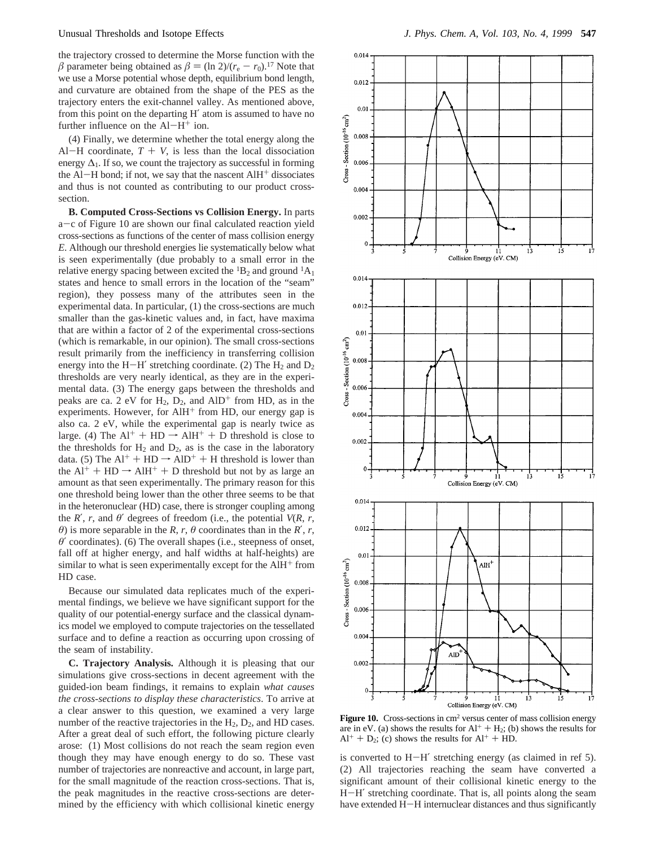the trajectory crossed to determine the Morse function with the  $\beta$  parameter being obtained as  $\beta = (\ln 2)/(r_e - r_0)^{17}$  Note that we use a Morse potential whose depth, equilibrium bond length, and curvature are obtained from the shape of the PES as the trajectory enters the exit-channel valley. As mentioned above, from this point on the departing H′ atom is assumed to have no further influence on the  $Al-H^+$  ion.

(4) Finally, we determine whether the total energy along the Al-H coordinate,  $T + V$ , is less than the local dissociation energy  $\Delta_1$ . If so, we count the trajectory as successful in forming the Al-H bond; if not, we say that the nascent  $AH^+$  dissociates and thus is not counted as contributing to our product crosssection.

**B. Computed Cross-Sections vs Collision Energy.** In parts <sup>a</sup>-c of Figure 10 are shown our final calculated reaction yield cross-sections as functions of the center of mass collision energy *E*. Although our threshold energies lie systematically below what is seen experimentally (due probably to a small error in the relative energy spacing between excited the  ${}^{1}B_{2}$  and ground  ${}^{1}A_{1}$ states and hence to small errors in the location of the "seam" region), they possess many of the attributes seen in the experimental data. In particular, (1) the cross-sections are much smaller than the gas-kinetic values and, in fact, have maxima that are within a factor of 2 of the experimental cross-sections (which is remarkable, in our opinion). The small cross-sections result primarily from the inefficiency in transferring collision energy into the H-H' stretching coordinate. (2) The  $H_2$  and  $D_2$ thresholds are very nearly identical, as they are in the experimental data. (3) The energy gaps between the thresholds and peaks are ca. 2 eV for  $H_2$ ,  $D_2$ , and  $AlD^+$  from HD, as in the experiments. However, for  $AH^+$  from HD, our energy gap is also ca. 2 eV, while the experimental gap is nearly twice as large. (4) The  $Al^+ + HD \rightarrow AlH^+ + D$  threshold is close to the thresholds for  $H_2$  and  $D_2$ , as is the case in the laboratory data. (5) The  $Al^+ + HD \rightarrow AlD^+ + H$  threshold is lower than the  $Al^+ + HD \rightarrow AlH^+ + D$  threshold but not by as large an amount as that seen experimentally. The primary reason for this one threshold being lower than the other three seems to be that in the heteronuclear (HD) case, there is stronger coupling among the *R*′, *r*, and *θ*′ degrees of freedom (i.e., the potential *V*(*R*, *r*, *θ*) is more separable in the *R*, *r*, *θ* coordinates than in the *R'*, *r*, *θ*′ coordinates). (6) The overall shapes (i.e., steepness of onset, fall off at higher energy, and half widths at half-heights) are similar to what is seen experimentally except for the  $A I H<sup>+</sup>$  from HD case.

Because our simulated data replicates much of the experimental findings, we believe we have significant support for the quality of our potential-energy surface and the classical dynamics model we employed to compute trajectories on the tessellated surface and to define a reaction as occurring upon crossing of the seam of instability.

**C. Trajectory Analysis.** Although it is pleasing that our simulations give cross-sections in decent agreement with the guided-ion beam findings, it remains to explain *what causes the cross-sections to display these characteristics*. To arrive at a clear answer to this question, we examined a very large number of the reactive trajectories in the  $H_2$ ,  $D_2$ , and HD cases. After a great deal of such effort, the following picture clearly arose: (1) Most collisions do not reach the seam region even though they may have enough energy to do so. These vast number of trajectories are nonreactive and account, in large part, for the small magnitude of the reaction cross-sections. That is, the peak magnitudes in the reactive cross-sections are determined by the efficiency with which collisional kinetic energy



**Figure 10.** Cross-sections in cm<sup>2</sup> versus center of mass collision energy are in eV. (a) shows the results for  $Al^+ + H_2$ ; (b) shows the results for  $Al^+ + D_2$ ; (c) shows the results for  $Al^+ + HD$ .

is converted to H-H′ stretching energy (as claimed in ref 5). (2) All trajectories reaching the seam have converted a significant amount of their collisional kinetic energy to the <sup>H</sup>-H′ stretching coordinate. That is, all points along the seam have extended H-H internuclear distances and thus significantly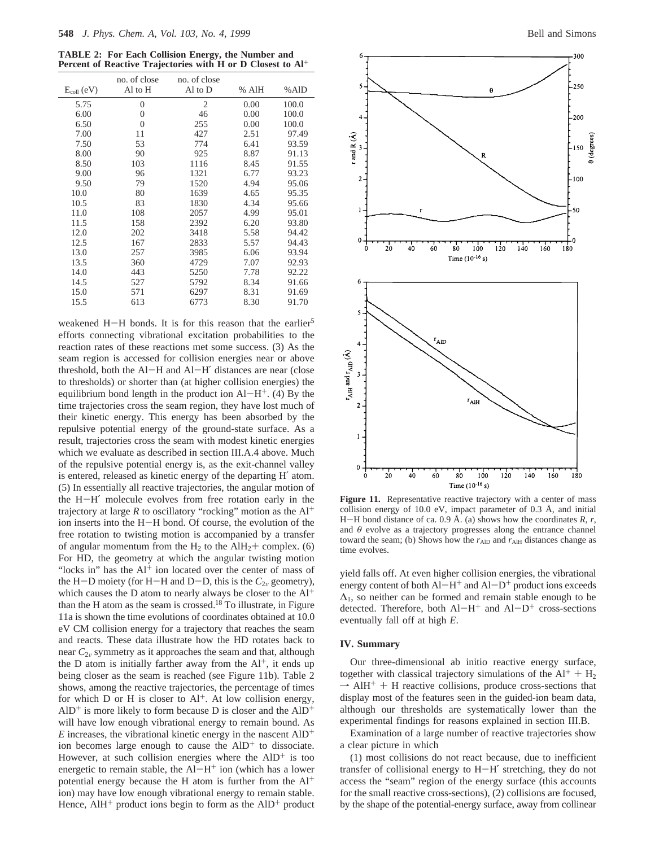**TABLE 2: For Each Collision Energy, the Number and Percent of Reactive Trajectories with H or D Closest to Al**+

| $E_{\text{coll}}(eV)$ | no. of close<br>Al to H | no. of close<br>Al to D | % AlH | %AlD  |
|-----------------------|-------------------------|-------------------------|-------|-------|
| 5.75                  | $\theta$                | $\overline{2}$          | 0.00  | 100.0 |
| 6.00                  | $\theta$                | 46                      | 0.00  | 100.0 |
| 6.50                  | $\theta$                | 255                     | 0.00  | 100.0 |
| 7.00                  | 11                      | 427                     | 2.51  | 97.49 |
| 7.50                  | 53                      | 774                     | 6.41  | 93.59 |
| 8.00                  | 90                      | 925                     | 8.87  | 91.13 |
| 8.50                  | 103                     | 1116                    | 8.45  | 91.55 |
| 9.00                  | 96                      | 1321                    | 6.77  | 93.23 |
| 9.50                  | 79                      | 1520                    | 4.94  | 95.06 |
| 10.0                  | 80                      | 1639                    | 4.65  | 95.35 |
| 10.5                  | 83                      | 1830                    | 4.34  | 95.66 |
| 11.0                  | 108                     | 2057                    | 4.99  | 95.01 |
| 11.5                  | 158                     | 2392                    | 6.20  | 93.80 |
| 12.0                  | 202                     | 3418                    | 5.58  | 94.42 |
| 12.5                  | 167                     | 2833                    | 5.57  | 94.43 |
| 13.0                  | 257                     | 3985                    | 6.06  | 93.94 |
| 13.5                  | 360                     | 4729                    | 7.07  | 92.93 |
| 14.0                  | 443                     | 5250                    | 7.78  | 92.22 |
| 14.5                  | 527                     | 5792                    | 8.34  | 91.66 |
| 15.0                  | 571                     | 6297                    | 8.31  | 91.69 |
| 15.5                  | 613                     | 6773                    | 8.30  | 91.70 |

weakened H-H bonds. It is for this reason that the earlier<sup>5</sup> efforts connecting vibrational excitation probabilities to the reaction rates of these reactions met some success. (3) As the seam region is accessed for collision energies near or above threshold, both the Al-H and Al-H′ distances are near (close to thresholds) or shorter than (at higher collision energies) the equilibrium bond length in the product ion  $Al-H^+$ . (4) By the time trajectories cross the seam region, they have lost much of their kinetic energy. This energy has been absorbed by the repulsive potential energy of the ground-state surface. As a result, trajectories cross the seam with modest kinetic energies which we evaluate as described in section III.A.4 above. Much of the repulsive potential energy is, as the exit-channel valley is entered, released as kinetic energy of the departing H′ atom. (5) In essentially all reactive trajectories, the angular motion of the H-H′ molecule evolves from free rotation early in the trajectory at large  $R$  to oscillatory "rocking" motion as the  $Al^+$ ion inserts into the H-H bond. Of course, the evolution of the free rotation to twisting motion is accompanied by a transfer of angular momentum from the  $H_2$  to the Al $H_2$ + complex. (6) For HD, the geometry at which the angular twisting motion "locks in" has the  $Al<sup>+</sup>$  ion located over the center of mass of the H-D moiety (for H-H and D-D, this is the  $C_{2v}$  geometry), which causes the D atom to nearly always be closer to the Al<sup>+</sup> than the H atom as the seam is crossed.18 To illustrate, in Figure 11a is shown the time evolutions of coordinates obtained at 10.0 eV CM collision energy for a trajectory that reaches the seam and reacts. These data illustrate how the HD rotates back to near  $C_{2v}$  symmetry as it approaches the seam and that, although the D atom is initially farther away from the  $Al^+$ , it ends up being closer as the seam is reached (see Figure 11b). Table 2 shows, among the reactive trajectories, the percentage of times for which  $D$  or  $H$  is closer to  $Al^+$ . At low collision energy,  $AID<sup>+</sup>$  is more likely to form because D is closer and the  $AID<sup>+</sup>$ will have low enough vibrational energy to remain bound. As  $E$  increases, the vibrational kinetic energy in the nascent  $AID^+$ ion becomes large enough to cause the  $AID<sup>+</sup>$  to dissociate. However, at such collision energies where the  $AID<sup>+</sup>$  is too energetic to remain stable, the  $Al-H^+$  ion (which has a lower potential energy because the H atom is further from the Al+ ion) may have low enough vibrational energy to remain stable. Hence,  $AH^+$  product ions begin to form as the  $AID^+$  product



Figure 11. Representative reactive trajectory with a center of mass collision energy of 10.0 eV, impact parameter of 0.3 Å, and initial <sup>H</sup>-H bond distance of ca. 0.9 Å. (a) shows how the coordinates *<sup>R</sup>*, *<sup>r</sup>*, and *θ* evolve as a trajectory progresses along the entrance channel toward the seam; (b) Shows how the  $r_{\text{AID}}$  and  $r_{\text{AIH}}$  distances change as time evolves.

yield falls off. At even higher collision energies, the vibrational energy content of both  $AI-H^+$  and  $AI-D^+$  product ions exceeds  $\Delta_1$ , so neither can be formed and remain stable enough to be detected. Therefore, both  $AI-H^+$  and  $AI-D^+$  cross-sections eventually fall off at high *E*.

#### **IV. Summary**

Our three-dimensional ab initio reactive energy surface, together with classical trajectory simulations of the  $Al^+ + H_2$  $\rightarrow$  AlH<sup>+</sup> + H reactive collisions, produce cross-sections that display most of the features seen in the quided-ion beam data display most of the features seen in the guided-ion beam data, although our thresholds are systematically lower than the experimental findings for reasons explained in section III.B.

Examination of a large number of reactive trajectories show a clear picture in which

(1) most collisions do not react because, due to inefficient transfer of collisional energy to H-H′ stretching, they do not access the "seam" region of the energy surface (this accounts for the small reactive cross-sections), (2) collisions are focused, by the shape of the potential-energy surface, away from collinear